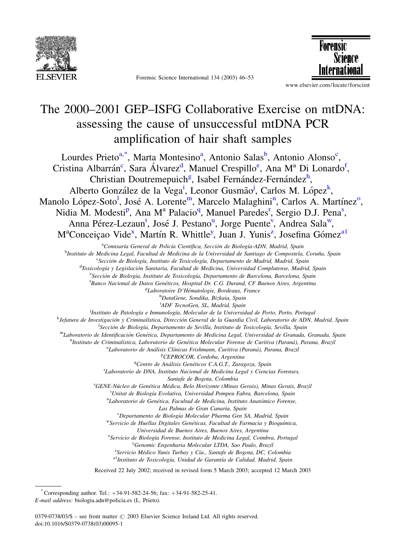

Forensic Science International 134 (2003) 46–53



# The 2000–2001 GEP–ISFG Collaborative Exercise on mtDNA: assessing the cause of unsuccessful mtDNA PCR amplification of hair shaft samples

Lourdes Prieto<sup>a,\*</sup>, Marta Montesino<sup>a</sup>, Antonio Salas<sup>b</sup>, Antonio Alonso<sup>c</sup>, Cristina Albarrán<sup>c</sup>, Sara Álvarez<sup>d</sup>, Manuel Crespillo<sup>e</sup>, Ana M<sup>a</sup> Di Lonardo<sup>f</sup>, Christian Doutremepuich<sup>g</sup>, Isabel Fernández-Fernández<sup>h</sup>, Alberto González de la Vega<sup>i</sup>, Leonor Gusmão<sup>j</sup>, Carlos M. López<sup>k</sup>, Manolo López-Soto<sup>l</sup>, José A. Lorente<sup>m</sup>, Marcelo Malaghini<sup>n</sup>, Carlos A. Martínez<sup>o</sup>, Nidia M. Modesti<sup>p</sup>, Ana M<sup>a</sup> Palacio<sup>q</sup>, Manuel Paredes<sup>r</sup>, Sergio D.J. Pena<sup>s</sup>, Anna Pérez-Lezaun<sup>t</sup>, José J. Pestano<sup>u</sup>, Jorge Puente<sup>v</sup>, Andrea Sala<sup>w</sup>, M<sup>a</sup>Conceiçao Vide<sup>x</sup>, Martín R. Whittle<sup>y</sup>, Juan J. Yunis<sup>z</sup>, Josefina Gómez<sup>a1</sup>

<sup>a</sup>Comisaría General de Policía Científica, Sección de Biología-ADN, Madrid, Spain

**bInstituto de Medicina Legal, Facultad de Medicina de la Universidad de Santiago de Compostela, Coruña, Spain** 

<sup>c</sup>Sección de Biología, Instituto de Toxicología, Departamento de Madrid, Madrid, Spain

<sup>d</sup>Toxicología y Legislación Sanitaria, Facultad de Medicina, Universidad Complutense, Madrid, Spain

e<br>Sección de Biología, Instituto de Toxicología, Departamento de Barcelona, Barcelona, Spain

<sup>f</sup> Banco Nacional de Datos Genéticos, Hospital Dr. C.G. Durand, CF Buenos Aires, Argentina

<sup>g</sup>Laboratoire D'Hématologie, Bordeaux, France

<sup>h</sup>DataGene, Sondika, Bizkaia, Spain i ADF TecnoGen, SL, Madrid, Spain

<sup>i</sup>Instituto de Patología e Inmunología, Molecular de la Universidad de Porto, Porto, Portugal

<sup>k</sup>Jefatura de Investigación y Criminalística, Dirección General de la Guardia Civil, Laboratorio de ADN, Madrid, Spain

<sup>1</sup>Sección de Biología, Departamento de Sevilla, Instituto de Toxicología, Sevilla, Spain

<sup>m</sup>Laboratorio de Identificación Genética, Departamento de Medicina Legal, Universidad de Granada, Granada, Spain

<sup>n</sup>Instituto de Criminalística, Laboratorio de Genética Molecular Forense de Curitiva (Paraná), Parana, Brazil

<sup>o</sup>Laboratorio de Análisis Clínicas Frishmann, Curitiva (Paraná), Parana, Brazil

p CEPROCOR, Cordoba, Argentina

<sup>q</sup>Centro de Análisis Genéticos C.A.G.T., Zaragoza, Spain

<sup>r</sup>Laboratorio de DNA, Instituto Nacional de Medicina Legal y Ciencias Forenses,

Santafe de Bogota, Colombia

<sup>s</sup>GENE-Núcleo de Genética Médica, Belo Horizonte (Minas Gerais), Minas Gerais, Brazil

<sup>t</sup>Unitat de Biología Evolutiva, Universidad Pompeu Fabra, Barcelona, Spain

<sup>u</sup>Laboratorio de Genética, Facultad de Medicina, Instituto Anatómico Forense,

Las Palmas de Gran Canaria, Spain

<sup>v</sup> Departamento de Biología Molecular Pharma Gen SA, Madrid, Spain

<sup>w</sup> Servicio de Huellas Digitales Genéticas, Facultad de Farmacia y Bioquímica,

Universidad de Buenos Aires, Buenos Aires, Argentina

<sup>x</sup> Servicio de Biología Forense, Instituto de Medicina Legal, Coimbra, Portugal

<sup>y</sup> Genomic Engenharia Molecular LTDA, Sao Paulo, Brazil

<sup>z</sup> Servicio Médico Yunis Turbay y Cía., Santafe de Bogota, DC, Colombia

a<sup>1</sup>Instituto de Toxicología, Unidad de Garantía de Calidad, Madrid, Spain

Received 22 July 2002; received in revised form 5 March 2003; accepted 12 March 2003

<sup>\*</sup> Corresponding author. Tel.:  $+34-91-582-24-56$ ; fax:  $+34-91-582-25-41$ . E-mail address: biologia.adn@policia.es (L. Prieto).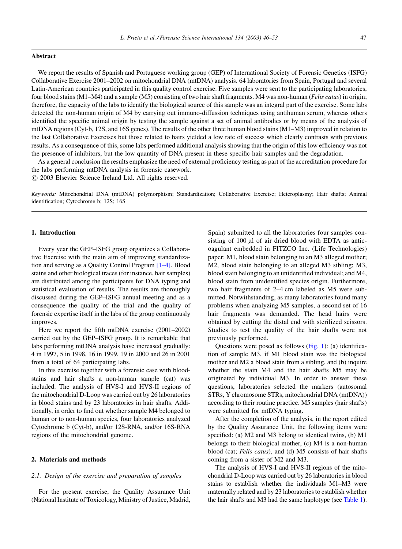## Abstract

We report the results of Spanish and Portuguese working group (GEP) of International Society of Forensic Genetics (ISFG) Collaborative Exercise 2001–2002 on mitochondrial DNA (mtDNA) analysis. 64 laboratories from Spain, Portugal and several Latin-American countries participated in this quality control exercise. Five samples were sent to the participating laboratories, four blood stains (M1–M4) and a sample (M5) consisting of two hair shaft fragments. M4 was non-human (*Felis catus*) in origin; therefore, the capacity of the labs to identify the biological source of this sample was an integral part of the exercise. Some labs detected the non-human origin of M4 by carrying out immuno-diffussion techniques using antihuman serum, whereas others identified the specific animal origin by testing the sample against a set of animal antibodies or by means of the analysis of mtDNA regions (Cyt-b, 12S, and 16S genes). The results of the other three human blood stains (M1–M3) improved in relation to the last Collaborative Exercises but those related to hairs yielded a low rate of success which clearly contrasts with previous results. As a consequence of this, some labs performed additional analysis showing that the origin of this low efficiency was not the presence of inhibitors, but the low quantity of DNA present in these specific hair samples and the degradation.

As a general conclusion the results emphasize the need of external proficiency testing as part of the accreditation procedure for the labs performing mtDNA analysis in forensic casework.

 $\odot$  2003 Elsevier Science Ireland Ltd. All rights reserved.

Keywords: Mitochondrial DNA (mtDNA) polymorphism; Standardization; Collaborative Exercise; Heteroplasmy; Hair shafts; Animal identification; Cytochrome b; 12S; 16S

#### 1. Introduction

Every year the GEP–ISFG group organizes a Collaborative Exercise with the main aim of improving standardization and serving as a Quality Control Program [\[1–4\]](#page-7-0). Blood stains and other biological traces (for instance, hair samples) are distributed among the participants for DNA typing and statistical evaluation of results. The results are thoroughly discussed during the GEP–ISFG annual meeting and as a consequence the quality of the trial and the quality of forensic expertise itself in the labs of the group continuously improves.

Here we report the fifth mtDNA exercise (2001–2002) carried out by the GEP–ISFG group. It is remarkable that labs performing mtDNA analysis have increased gradually: 4 in 1997, 5 in 1998, 16 in 1999, 19 in 2000 and 26 in 2001 from a total of 64 participating labs.

In this exercise together with a forensic case with bloodstains and hair shafts a non-human sample (cat) was included. The analysis of HVS-I and HVS-II regions of the mitochondrial D-Loop was carried out by 26 laboratories in blood stains and by 23 laboratories in hair shafts. Additionally, in order to find out whether sample M4 belonged to human or to non-human species, four laboratories analyzed Cytochrome b (Cyt-b), and/or 12S-RNA, and/or 16S-RNA regions of the mitochondrial genome.

#### 2. Materials and methods

#### 2.1. Design of the exercise and preparation of samples

For the present exercise, the Quality Assurance Unit (National Institute of Toxicology, Ministry of Justice, Madrid, Spain) submitted to all the laboratories four samples consisting of  $100 \mu l$  of air dried blood with EDTA as anticoagulant embedded in FITZCO Inc. (Life Technologies) paper: M1, blood stain belonging to an M3 alleged mother; M2, blood stain belonging to an alleged M3 sibling; M3, blood stain belonging to an unidentified individual; and M4, blood stain from unidentified species origin. Furthermore, two hair fragments of 2–4 cm labeled as M5 were submitted. Notwithstanding, as many laboratories found many problems when analyzing M5 samples, a second set of 16 hair fragments was demanded. The head hairs were obtained by cutting the distal end with sterilized scissors. Studies to test the quality of the hair shafts were not previously performed.

Questions were posed as follows  $(Fig, 1)$ : (a) identification of sample M3, if M1 blood stain was the biological mother and M2 a blood stain from a sibling, and (b) inquire whether the stain M4 and the hair shafts M5 may be originated by individual M3. In order to answer these questions, laboratories selected the markers (autosomal STRs, Y chromosome STRs, mitochondrial DNA (mtDNA)) according to their routine practice. M5 samples (hair shafts) were submitted for mtDNA typing.

After the completion of the analysis, in the report edited by the Quality Assurance Unit, the following items were specified: (a) M2 and M3 belong to identical twins, (b) M1 belongs to their biological mother, (c) M4 is a non-human blood (cat; Felis catus), and (d) M5 consists of hair shafts coming from a sister of M2 and M3.

The analysis of HVS-I and HVS-II regions of the mitochondrial D-Loop was carried out by 26 laboratories in blood stains to establish whether the individuals M1–M3 were maternally related and by 23 laboratories to establish whether the hair shafts and M3 had the same haplotype (see [Table 1\)](#page-2-0).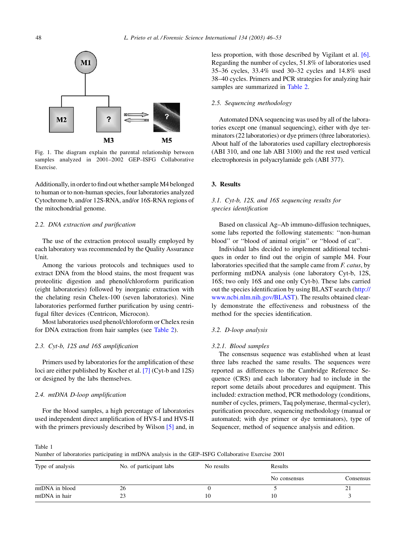<span id="page-2-0"></span>

Fig. 1. The diagram explain the parental relationship between samples analyzed in 2001–2002 GEP–ISFG Collaborative Exercise.

Additionally, in order to find out whether sample M4 belonged to human or to non-human species, four laboratories analyzed Cytochrome b, and/or 12S-RNA, and/or 16S-RNA regions of the mitochondrial genome.

### 2.2. DNA extraction and purification

The use of the extraction protocol usually employed by each laboratory was recommended by the Quality Assurance Unit.

Among the various protocols and techniques used to extract DNA from the blood stains, the most frequent was proteolitic digestion and phenol/chloroform purification (eight laboratories) followed by inorganic extraction with the chelating resin Chelex-100 (seven laboratories). Nine laboratories performed further purification by using centrifugal filter devices (Centricon, Microcon).

Most laboratories used phenol/chloroform or Chelex resin for DNA extraction from hair samples (see [Table 2](#page-3-0)).

#### 2.3. Cyt-b, 12S and 16S amplification

Primers used by laboratories for the amplification of these loci are either published by Kocher et al. [\[7\]](#page-7-0) (Cyt-b and 12S) or designed by the labs themselves.

#### 2.4. mtDNA D-loop amplification

For the blood samples, a high percentage of laboratories used independent direct amplification of HVS-I and HVS-II with the primers previously described by Wilson [\[5\]](#page-7-0) and, in less proportion, with those described by Vigilant et al. [\[6\]](#page-7-0). Regarding the number of cycles, 51.8% of laboratories used 35–36 cycles, 33.4% used 30–32 cycles and 14.8% used 38–40 cycles. Primers and PCR strategies for analyzing hair samples are summarized in [Table 2.](#page-3-0)

#### 2.5. Sequencing methodology

Automated DNA sequencing was used by all of the laboratories except one (manual sequencing), either with dye terminators (22 laboratories) or dye primers (three laboratories). About half of the laboratories used capillary electrophoresis (ABI 310, and one lab ABI 3100) and the rest used vertical electrophoresis in polyacrylamide gels (ABI 377).

## 3. Results

#### 3.1. Cyt-b, 12S, and 16S sequencing results for species identification

Based on classical Ag–Ab immuno-diffusion techniques, some labs reported the following statements: ''non-human blood'' or ''blood of animal origin'' or ''blood of cat''.

Individual labs decided to implement additional techniques in order to find out the origin of sample M4. Four laboratories specified that the sample came from F. catus, by performing mtDNA analysis (one laboratory Cyt-b, 12S, 16S; two only 16S and one only Cyt-b). These labs carried out the species identification by using BLAST search [\(http://](HTTP://WWW.NCBI.NLM.NIH.GOV/BLAST) [www.ncbi.nlm.nih.gov/BLAST\)](HTTP://WWW.NCBI.NLM.NIH.GOV/BLAST). The results obtained clearly demonstrate the effectiveness and robustness of the method for the species identification.

#### 3.2. D-loop analysis

#### 3.2.1. Blood samples

The consensus sequence was established when at least three labs reached the same results. The sequences were reported as differences to the Cambridge Reference Sequence (CRS) and each laboratory had to include in the report some details about procedures and equipment. This included: extraction method, PCR methodology (conditions, number of cycles, primers, Taq polymerase, thermal-cycler), purification procedure, sequencing methodology (manual or automated; with dye primer or dye terminators), type of Sequencer, method of sequence analysis and edition.

Table 1

Number of laboratories participating in mtDNA analysis in the GEP–ISFG Collaborative Exercise 2001

| Type of analysis | No. of participant labs | No results | Results      |           |  |
|------------------|-------------------------|------------|--------------|-----------|--|
|                  |                         |            | No consensus | Consensus |  |
| mtDNA in blood   | 26                      |            |              | 21        |  |
| mtDNA in hair    | 23                      | 10         | 10           |           |  |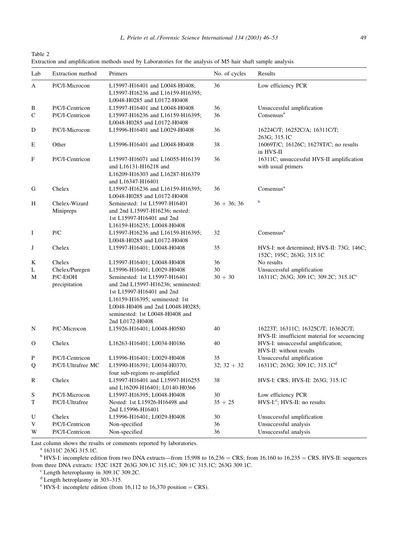<span id="page-3-0"></span>

| Table 2                                                                                                     |  |  |  |  |
|-------------------------------------------------------------------------------------------------------------|--|--|--|--|
| Extraction and amplification methods used by Laboratories for the analysis of M5 hair shaft sample analysis |  |  |  |  |

| Lab | Extraction method  | Primers                                                           | No. of cycles  | Results                                                       |
|-----|--------------------|-------------------------------------------------------------------|----------------|---------------------------------------------------------------|
| А   | P/C/I-Microcon     | L15997-H16401 and L0048-H0408;                                    | 36             | Low efficiency PCR                                            |
|     |                    | L15997-H16236 and L16159-H16395;                                  |                |                                                               |
|     |                    | L0048-H0285 and L0172-H0408                                       |                |                                                               |
| B   | P/C/I-Centricon    | L15997-H16401 and L0048-H0408                                     | 36             | Unsuccessful amplification                                    |
| C   | P/C/I-Centricon    | L15997-H16236 and L16159-H16395;                                  | 36             | Consensus <sup>a</sup>                                        |
|     |                    | L0048-H0285 and L0172-H0408                                       |                |                                                               |
| D   | P/C/I-Microcon     | L15996-H16401 and L0029-H0408                                     | 36             | 16224C/T; 16252C/A; 16311C/T;<br>263G; 315.1C                 |
| E   | Other              | L15996-H16401 and L0048-H0408                                     | 38             | 16069T/C; 16126C; 16278T/C; no results<br>in HVS-II           |
| F   | P/C/I-Centricon    | L15997-H16071 and L16055-H16139                                   | 36             | 16311C; unsuccessful HVS-II amplification                     |
|     |                    | and L16131-H16218 and                                             |                | with usual primers                                            |
|     |                    | L16209-H16303 and L16287-H16379                                   |                |                                                               |
|     |                    | and L16347-H16401                                                 |                |                                                               |
| G   | Chelex             | L15997-H16236 and L16159-H16395;                                  | 36             | Consensus <sup>a</sup>                                        |
|     |                    | L0048-H0285 and L0172-H0408                                       |                | $\mathbf b$                                                   |
| Н   | Chelex-Wizard      | Seminested: 1st L15997-H16401                                     | $36 + 36$ ; 36 |                                                               |
|     | Minipreps          | and 2nd L15997-H16236; nested:                                    |                |                                                               |
|     |                    | 1st L15997-H16401 and 2nd                                         |                |                                                               |
|     | P/C                | L16159-H16235; L0048-H0408                                        | 32             | Consensus <sup>a</sup>                                        |
| I   |                    | L15997-H16236 and L16159-H16395;<br>L0048-H0285 and L0172-H0408   |                |                                                               |
| J   | Chelex             | L15997-H16401; L0048-H0408                                        | 35             | HVS-I: not determined; HVS-II: 73G; 146C;                     |
|     |                    |                                                                   |                | 152C; 195C; 263G; 315.1C                                      |
| K   | Chelex             | L15997-H16401; L0048-H0408                                        | 36             | No results                                                    |
| L   | Chelex/Puregen     | L15996-H16401; L0029-H0408                                        | 30             | Unsuccessful amplification                                    |
| М   | P/C-EtOH           | Seminested: 1st L15997-H16401                                     | $30 + 30$      | 16311C; 263G; 309.1C; 309.2C; 315.1C°                         |
|     | precipitation      | and 2nd L15997-H16236; seminested:                                |                |                                                               |
|     |                    | 1st L15997-H16401 and 2nd                                         |                |                                                               |
|     |                    | L16159-H16395; seminested: 1st                                    |                |                                                               |
|     |                    | L0048-H0408 and 2nd L0048-H0285;                                  |                |                                                               |
|     |                    | seminested: 1st L0048-H0408 and                                   |                |                                                               |
|     |                    | 2nd L0172-H0408                                                   |                |                                                               |
| N   | P/C-Microcon       | L15926-H16401; L0048-H0580                                        | 40             | 16223T; 16311C; 16325C/T; 16362C/T;                           |
|     |                    |                                                                   |                | HVS-II: insufficient material for secuencing                  |
| O   | Chelex             | L16263-H16401; L0034-H0186                                        | 40             | HVS-I: unsuccessful amplification;<br>HVS-II: without results |
| P   | P/C/I-Centricon    | L15996-H16401; L0029-H0408                                        | 35             | Unsuccessful amplification                                    |
| Q   | P/C/I-Ultrafree MC | L15990-H16391; L0034-H0370;                                       | $32; 32 + 32$  | 16311C; 263G; 309.1C; 315.1C <sup><math>d</math></sup>        |
|     |                    | four sub-regions re-amplified                                     |                |                                                               |
| R   | Chelex             | L15997-H16401 and L15997-H16255<br>and L16209-H16401; L0140-H0366 | 38             | HVS-I: CRS; HVS-II: 263G; 315.1C                              |
| S   | P/C/I-Microcon     | L15997-H16395; L0048-H0408                                        | 30             | Low efficiency PCR                                            |
| T   | P/C/I-Ultrafree    | Nested: 1st L15926-H16498 and                                     | $35 + 25$      | $HVS-I.^e$ ; $HVS-II$ : no results                            |
|     |                    | 2nd L15996-H16401                                                 |                |                                                               |
| U   | Chelex             | L15996-H16401; L0029-H0408                                        | 30             | Unsuccessful amplification                                    |
| V   | P/C/I-Centricon    | Non-specified                                                     | 36             | Unsuccessful analysis                                         |
| W   | P/C/I-Centricon    | Non-specified                                                     | 36             | Unsuccessful analysis                                         |

Last column shows the results or comments reported by laboratories.<br><sup>a</sup> 16311C 263G 315.1C.

 $b$  HVS-I: incomplete edition from two DNA extracts—from 15,998 to 16,236 = CRS; from 16,160 to 16,235 = CRS. HVS-II: sequences from three DNA extracts: 152C 182T 263G 309.1C 315.1C; 309.1C 315.1C; 263G 309.1C. <sup>c</sup> Length heteroplasmy in 309.1C 309.2C.

<sup>d</sup> Length hetroplasmy in 303–315.<br><sup>e</sup> HVS-I: incomplete edition (from 16,112 to 16,370 position = CRS).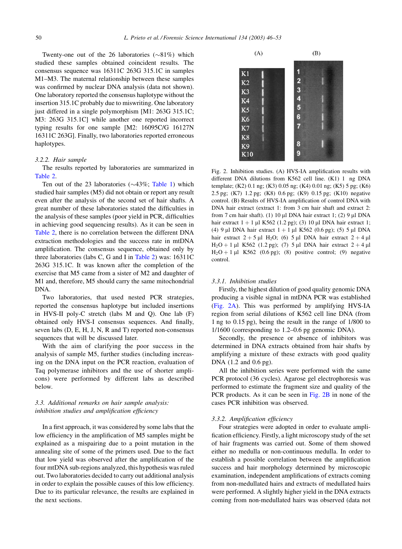<span id="page-4-0"></span>Twenty-one out of the 26 laboratories  $(\sim 81\%)$  which studied these samples obtained coincident results. The consensus sequence was 16311C 263G 315.1C in samples M1–M3. The maternal relationship between these samples was confirmed by nuclear DNA analysis (data not shown). One laboratory reported the consensus haplotype without the insertion 315.1C probably due to miswriting. One laboratory just differed in a single polymorphism [M1: 263G 315.1C; M3: 263G 315.1C] while another one reported incorrect typing results for one sample [M2: 16095C/G 16127N 16311C 263G]. Finally, two laboratories reported erroneous haplotypes.

#### 3.2.2. Hair sample

The results reported by laboratories are summarized in [Table 2.](#page-3-0)

Ten out of the 23 laboratories  $(\sim 43\%;$  [Table 1](#page-2-0)) which studied hair samples (M5) did not obtain or report any result even after the analysis of the second set of hair shafts. A great number of these laboratories stated the difficulties in the analysis of these samples (poor yield in PCR, difficulties in achieving good sequencing results). As it can be seen in [Table 2,](#page-3-0) there is no correlation between the different DNA extraction methodologies and the success rate in mtDNA amplification. The consensus sequence, obtained only by three laboratories (labs C, G and I in [Table 2\)](#page-3-0) was: 16311C 263G 315.1C. It was known after the completion of the exercise that M5 came from a sister of M2 and daughter of M1 and, therefore, M5 should carry the same mitochondrial DNA.

Two laboratories, that used nested PCR strategies, reported the consensus haplotype but included insertions in HVS-II poly-C stretch (labs M and Q). One lab (F) obtained only HVS-I consensus sequences. And finally, seven labs (D, E, H, J, N, R and T) reported non-consensus sequences that will be discussed later.

With the aim of clarifying the poor success in the analysis of sample M5, further studies (including increasing on the DNA input on the PCR reaction, evaluation of Taq polymerase inhibitors and the use of shorter amplicons) were performed by different labs as described below.

## 3.3. Additional remarks on hair sample analysis: inhibition studies and amplification efficiency

In a first approach, it was considered by some labs that the low efficiency in the amplification of M5 samples might be explained as a mispairing due to a point mutation in the annealing site of some of the primers used. Due to the fact that low yield was observed after the amplification of the four mtDNA sub-regions analyzed, this hypothesis was ruled out. Two laboratories decided to carry out additional analysis in order to explain the possible causes of this low efficiency. Due to its particular relevance, the results are explained in the next sections.



Fig. 2. Inhibition studies. (A) HVS-IA amplification results with different DNA dilutions from K562 cell line. (K1) 1 ng DNA template; (K2) 0.1 ng; (K3) 0.05 ng; (K4) 0.01 ng; (K5) 5 pg; (K6) 2.5 pg; (K7) 1.2 pg; (K8) 0.6 pg; (K9) 0.15 pg; (K10) negative control. (B) Results of HVS-IA amplification of control DNA with DNA hair extract (extract 1: from 3 cm hair shaft and extract 2: from 7 cm hair shaft). (1) 10  $\mu$ l DNA hair extract 1; (2) 9  $\mu$ l DNA hair extract  $1 + 1$  µl K562 (1.2 pg); (3) 10 µl DNA hair extract 1; (4) 9 µl DNA hair extract  $1 + 1$  µl K562 (0.6 pg); (5) 5 µl DNA hair extract  $2 + 5 \mu l$  H<sub>2</sub>O; (6) 5  $\mu$ l DNA hair extract  $2 + 4 \mu l$  $H_2O + 1 \mu I$  K562 (1.2 pg); (7) 5  $\mu I$  DNA hair extract  $2 + 4 \mu I$  $H<sub>2</sub>O + 1 \mu l$  K562 (0.6 pg); (8) positive control; (9) negative control.

## 3.3.1. Inhibition studies

Firstly, the highest dilution of good quality genomic DNA producing a visible signal in mtDNA PCR was established (Fig. 2A). This was performed by amplifying HVS-IA region from serial dilutions of K562 cell line DNA (from 1 ng to 0.15 pg), being the result in the range of 1/800 to 1/1600 (corresponding to 1.2–0.6 pg genomic DNA).

Secondly, the presence or absence of inhibitors was determined in DNA extracts obtained from hair shafts by amplifying a mixture of these extracts with good quality DNA (1.2 and 0.6 pg).

All the inhibition series were performed with the same PCR protocol (36 cycles). Agarose gel electrophoresis was performed to estimate the fragment size and quality of the PCR products. As it can be seen in Fig. 2B in none of the cases PCR inhibition was observed.

#### 3.3.2. Amplification efficiency

Four strategies were adopted in order to evaluate amplification efficiency. Firstly, a light microscopy study of the set of hair fragments was carried out. Some of them showed either no medulla or non-continuous medulla. In order to establish a possible correlation between the amplification success and hair morphology determined by microscopic examination, independent amplifications of extracts coming from non-medullated hairs and extracts of medullated hairs were performed. A slightly higher yield in the DNA extracts coming from non-medullated hairs was observed (data not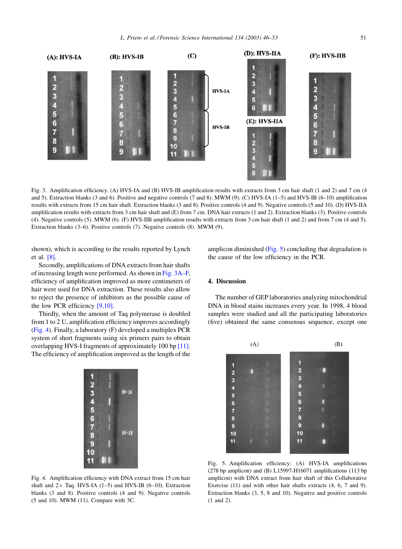<span id="page-5-0"></span>

Fig. 3. Amplification efficiency. (A) HVS-IA and (B) HVS-IB amplification results with extracts from 3 cm hair shaft (1 and 2) and 7 cm (4 and 5). Extraction blanks (3 and 6). Positive and negative controls (7 and 8). MWM (9). (C) HVS-IA (1–5) and HVS-IB (6–10) amplification results with extracts from 15 cm hair shaft. Extraction blanks (3 and 8). Positive controls (4 and 9). Negative controls (5 and 10). (D) HVS-IIA amplification results with extracts from 3 cm hair shaft and (E) from 7 cm. DNA hair extracts (1 and 2). Extraction blanks (3). Positive controls (4). Negative controls (5). MWM (6). (F) HVS-IIB amplification results with extracts from 3 cm hair shaft (1 and 2) and from 7 cm (4 and 5). Extraction blanks (3–6). Positive controls (7). Negative controls (8). MWM (9).

shown), which is according to the results reported by Lynch et al. [\[8\]](#page-7-0).

Secondly, amplifications of DNA extracts from hair shafts of increasing length were performed. As shown in Fig. 3A–F, efficiency of amplification improved as more centimeters of hair were used for DNA extraction. These results also allow to reject the presence of inhibitors as the possible cause of the low PCR efficiency [\[9,10\].](#page-7-0)

Thirdly, when the amount of Taq polymerase is doubled from 1 to 2 U, amplification efficiency improves accordingly (Fig. 4). Finally, a laboratory (F) developed a multiplex PCR system of short fragments using six primers pairs to obtain overlapping HVS-I fragments of approximately 100 bp [\[11\].](#page-7-0) The efficiency of amplification improved as the length of the



Fig. 4. Amplification efficiency with DNA extract from 15 cm hair shaft and  $2 \times$  Taq. HVS-IA (1–5) and HVS-IB (6–10). Extraction blanks (3 and 8). Positive controls (4 and 9). Negative controls (5 and 10). MWM (11). Compare with 3C.

amplicon diminished (Fig. 5) concluding that degradation is the cause of the low efficiency in the PCR.

# 4. Discussion

The number of GEP laboratories analyzing mitochondrial DNA in blood stains increases every year. In 1998, 4 blood samples were studied and all the participating laboratories (five) obtained the same consensus sequence, except one



Fig. 5. Amplification efficiency: (A) HVS-IA amplifications (278 bp amplicon) and (B) L15997-H16071 amplifications (113 bp amplicon) with DNA extract from hair shaft of this Collaborative Exercise (11) and with other hair shafts extracts (4, 6, 7 and 9). Extraction blanks (3, 5, 8 and 10). Negative and positive controls (1 and 2).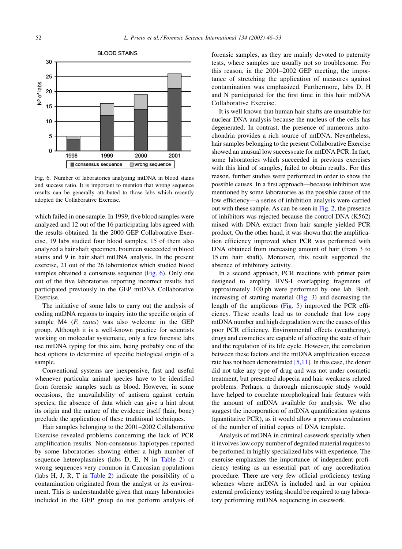

Fig. 6. Number of laboratories analyzing mtDNA in blood stains and success ratio. It is important to mention that wrong sequence results can be generally attributed to those labs which recently adopted the Collaborative Exercise.

which failed in one sample. In 1999, five blood samples were analyzed and 12 out of the 16 participating labs agreed with the results obtained. In the 2000 GEP Collaborative Exercise, 19 labs studied four blood samples, 15 of them also analyzed a hair shaft specimen. Fourteen succeeded in blood stains and 9 in hair shaft mtDNA analysis. In the present exercise, 21 out of the 26 laboratories which studied blood samples obtained a consensus sequence (Fig. 6). Only one out of the five laboratories reporting incorrect results had participated previously in the GEP mtDNA Collaborative Exercise.

The initiative of some labs to carry out the analysis of coding mtDNA regions to inquiry into the specific origin of sample M4 (*F. catus*) was also welcome in the GEP group. Although it is a well-known practice for scientists working on molecular systematic, only a few forensic labs use mtDNA typing for this aim, being probably one of the best options to determine of specific biological origin of a sample.

Conventional systems are inexpensive, fast and useful whenever particular animal species have to be identified from forensic samples such as blood. However, in some occasions, the unavailability of antisera against certain species, the absence of data which can give a hint about its origin and the nature of the evidence itself (hair, bone) preclude the application of these traditional techniques.

Hair samples belonging to the 2001–2002 Collaborative Exercise revealed problems concerning the lack of PCR amplification results. Non-consensus haplotypes reported by some laboratories showing either a high number of sequence heteroplasmies (labs D, E, N in [Table 2](#page-3-0)) or wrong sequences very common in Caucasian populations (labs H, J, R, T in [Table 2\)](#page-3-0) indicate the possibility of a contamination originated from the analyst or its environment. This is understandable given that many laboratories included in the GEP group do not perform analysis of forensic samples, as they are mainly devoted to paternity tests, where samples are usually not so troublesome. For this reason, in the 2001–2002 GEP meeting, the importance of stretching the application of measures against contamination was emphasized. Furthermore, labs D, H and N participated for the first time in this hair mtDNA Collaborative Exercise.

It is well known that human hair shafts are unsuitable for nuclear DNA analysis because the nucleus of the cells has degenerated. In contrast, the presence of numerous mitochondria provides a rich source of mtDNA. Nevertheless, hair samples belonging to the present Collaborative Exercise showed an unusual low success rate for mtDNA PCR. In fact, some laboratories which succeeded in previous exercises with this kind of samples, failed to obtain results. For this reason, further studies were performed in order to show the possible causes. In a first approach—because inhibition was mentioned by some laboratories as the possible cause of the low efficiency—a series of inhibition analysis were carried out with these sample. As can be seen in [Fig. 2,](#page-4-0) the presence of inhibitors was rejected because the control DNA (K562) mixed with DNA extract from hair sample yielded PCR product. On the other hand, it was shown that the amplification efficiency improved when PCR was performed with DNA obtained from increasing amount of hair (from 3 to 15 cm hair shaft). Moreover, this result supported the absence of inhibitory activity.

In a second approach, PCR reactions with primer pairs designed to amplify HVS-I overlapping fragments of approximately 100 pb were performed by one lab. Both, increasing of starting material [\(Fig. 3](#page-5-0)) and decreasing the length of the amplicons  $(Fig. 5)$  improved the PCR efficiency. These results lead us to conclude that low copy mtDNA number and high degradation were the causes of this poor PCR efficiency. Environmental effects (weathering), drugs and cosmetics are capable of affecting the state of hair and the regulation of its life cycle. However, the correlation between these factors and the mtDNA amplification success rate has not been demonstrated [\[5,11\].](#page-7-0) In this case, the donor did not take any type of drug and was not under cosmetic treatment, but presented alopecia and hair weakness related problems. Perhaps, a thorough microscopic study would have helped to correlate morphological hair features with the amount of mtDNA available for analysis. We also suggest the incorporation of mtDNA quantification systems (quantitative PCR), as it would allow a previous evaluation of the number of initial copies of DNA template.

Analysis of mtDNA in criminal casework specially when it involves low copy number of degraded material requires to be perfomed in highly specialized labs with experience. The exercise emphasizes the importance of independent proficiency testing as an essential part of any accreditation procedure. There are very few official proficiency testing schemes where mtDNA is included and in our opinion external proficiency testing should be required to any laboratory performing mtDNA sequencing in casework.